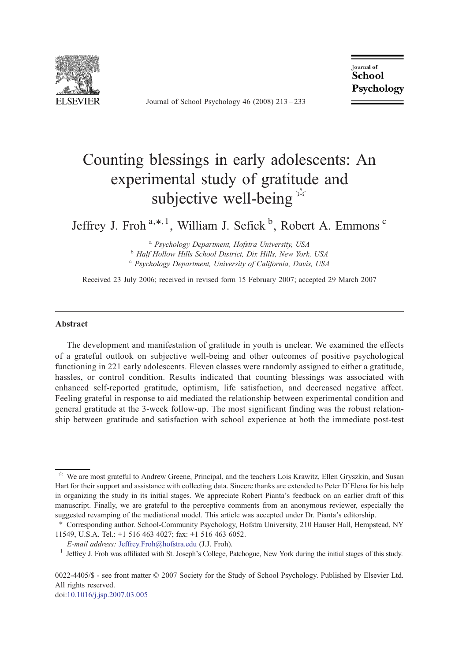

Journal of School Psychology 46 (2008) 213–233

**Journal** of School Psychology

# Counting blessings in early adolescents: An experimental study of gratitude and subjective well-being  $\overrightarrow{x}$

Jeffrey J. Froh<sup>a,\*,1</sup>, William J. Sefick<sup>b</sup>, Robert A. Emmons<sup>c</sup>

<sup>a</sup> Psychology Department, Hofstra University, USA <sup>b</sup> Half Hollow Hills School District, Dix Hills, New York, USA <sup>c</sup> Psychology Department, University of California, Davis, USA

Received 23 July 2006; received in revised form 15 February 2007; accepted 29 March 2007

#### Abstract

The development and manifestation of gratitude in youth is unclear. We examined the effects of a grateful outlook on subjective well-being and other outcomes of positive psychological functioning in 221 early adolescents. Eleven classes were randomly assigned to either a gratitude, hassles, or control condition. Results indicated that counting blessings was associated with enhanced self-reported gratitude, optimism, life satisfaction, and decreased negative affect. Feeling grateful in response to aid mediated the relationship between experimental condition and general gratitude at the 3-week follow-up. The most significant finding was the robust relationship between gratitude and satisfaction with school experience at both the immediate post-test

0022-4405/\$ - see front matter © 2007 Society for the Study of School Psychology. Published by Elsevier Ltd. All rights reserved.

doi:[10.1016/j.jsp.2007.03.005](http://dx.doi.org/10.1016/j.jsp.2007.03.005)

<sup>☆</sup> We are most grateful to Andrew Greene, Principal, and the teachers Lois Krawitz, Ellen Gryszkin, and Susan Hart for their support and assistance with collecting data. Sincere thanks are extended to Peter D'Elena for his help in organizing the study in its initial stages. We appreciate Robert Pianta's feedback on an earlier draft of this manuscript. Finally, we are grateful to the perceptive comments from an anonymous reviewer, especially the suggested revamping of the mediational model. This article was accepted under Dr. Pianta's editorship.

<sup>⁎</sup> Corresponding author. School-Community Psychology, Hofstra University, 210 Hauser Hall, Hempstead, NY 11549, U.S.A. Tel.: +1 516 463 4027; fax: +1 516 463 6052.

E-mail address: [Jeffrey.Froh@hofstra.edu](mailto:Jeffrey.Froh@hofstra.edu) (J.J. Froh).

<sup>&</sup>lt;sup>1</sup> Jeffrey J. Froh was affiliated with St. Joseph's College, Patchogue, New York during the initial stages of this study.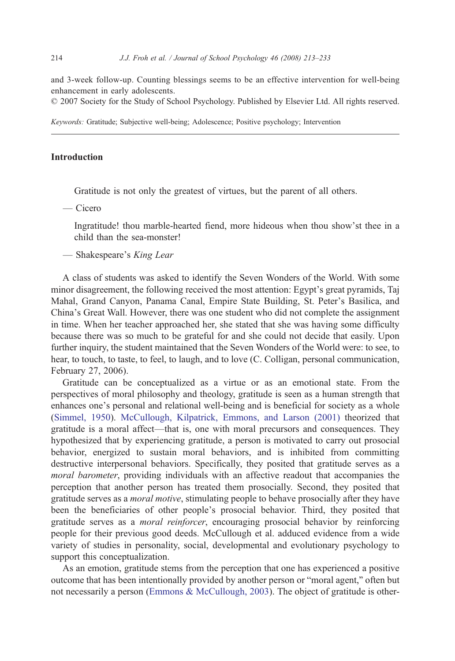and 3-week follow-up. Counting blessings seems to be an effective intervention for well-being enhancement in early adolescents.

© 2007 Society for the Study of School Psychology. Published by Elsevier Ltd. All rights reserved.

Keywords: Gratitude; Subjective well-being; Adolescence; Positive psychology; Intervention

## Introduction

Gratitude is not only the greatest of virtues, but the parent of all others.

— Cicero

Ingratitude! thou marble-hearted fiend, more hideous when thou show'st thee in a child than the sea-monster!

— Shakespeare's King Lear

A class of students was asked to identify the Seven Wonders of the World. With some minor disagreement, the following received the most attention: Egypt's great pyramids, Taj Mahal, Grand Canyon, Panama Canal, Empire State Building, St. Peter's Basilica, and China's Great Wall. However, there was one student who did not complete the assignment in time. When her teacher approached her, she stated that she was having some difficulty because there was so much to be grateful for and she could not decide that easily. Upon further inquiry, the student maintained that the Seven Wonders of the World were: to see, to hear, to touch, to taste, to feel, to laugh, and to love (C. Colligan, personal communication, February 27, 2006).

Gratitude can be conceptualized as a virtue or as an emotional state. From the perspectives of moral philosophy and theology, gratitude is seen as a human strength that enhances one's personal and relational well-being and is beneficial for society as a whole ([Simmel, 1950\)](#page-20-0). [McCullough, Kilpatrick, Emmons, and Larson \(2001\)](#page-19-0) theorized that gratitude is a moral affect—that is, one with moral precursors and consequences. They hypothesized that by experiencing gratitude, a person is motivated to carry out prosocial behavior, energized to sustain moral behaviors, and is inhibited from committing destructive interpersonal behaviors. Specifically, they posited that gratitude serves as a moral barometer, providing individuals with an affective readout that accompanies the perception that another person has treated them prosocially. Second, they posited that gratitude serves as a moral motive, stimulating people to behave prosocially after they have been the beneficiaries of other people's prosocial behavior. Third, they posited that gratitude serves as a moral reinforcer, encouraging prosocial behavior by reinforcing people for their previous good deeds. McCullough et al. adduced evidence from a wide variety of studies in personality, social, developmental and evolutionary psychology to support this conceptualization.

As an emotion, gratitude stems from the perception that one has experienced a positive outcome that has been intentionally provided by another person or "moral agent," often but not necessarily a person [\(Emmons & McCullough, 2003\)](#page-19-0). The object of gratitude is other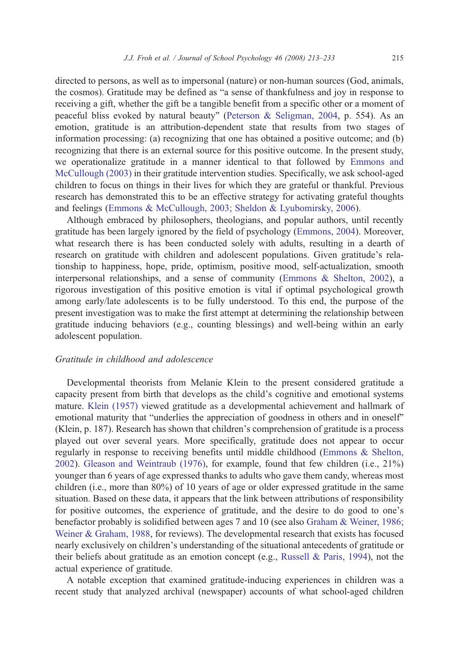directed to persons, as well as to impersonal (nature) or non-human sources (God, animals, the cosmos). Gratitude may be defined as "a sense of thankfulness and joy in response to receiving a gift, whether the gift be a tangible benefit from a specific other or a moment of peaceful bliss evoked by natural beauty" [\(Peterson & Seligman, 2004](#page-20-0), p. 554). As an emotion, gratitude is an attribution-dependent state that results from two stages of information processing: (a) recognizing that one has obtained a positive outcome; and (b) recognizing that there is an external source for this positive outcome. In the present study, we operationalize gratitude in a manner identical to that followed by [Emmons and](#page-19-0) [McCullough \(2003\)](#page-19-0) in their gratitude intervention studies. Specifically, we ask school-aged children to focus on things in their lives for which they are grateful or thankful. Previous research has demonstrated this to be an effective strategy for activating grateful thoughts and feelings [\(Emmons & McCullough, 2003; Sheldon & Lyubomirsky, 2006\)](#page-19-0).

Although embraced by philosophers, theologians, and popular authors, until recently gratitude has been largely ignored by the field of psychology [\(Emmons, 2004\)](#page-19-0). Moreover, what research there is has been conducted solely with adults, resulting in a dearth of research on gratitude with children and adolescent populations. Given gratitude's relationship to happiness, hope, pride, optimism, positive mood, self-actualization, smooth interpersonal relationships, and a sense of community ([Emmons & Shelton, 2002](#page-19-0)), a rigorous investigation of this positive emotion is vital if optimal psychological growth among early/late adolescents is to be fully understood. To this end, the purpose of the present investigation was to make the first attempt at determining the relationship between gratitude inducing behaviors (e.g., counting blessings) and well-being within an early adolescent population.

## Gratitude in childhood and adolescence

Developmental theorists from Melanie Klein to the present considered gratitude a capacity present from birth that develops as the child's cognitive and emotional systems mature. [Klein \(1957\)](#page-19-0) viewed gratitude as a developmental achievement and hallmark of emotional maturity that "underlies the appreciation of goodness in others and in oneself" (Klein, p. 187). Research has shown that children's comprehension of gratitude is a process played out over several years. More specifically, gratitude does not appear to occur regularly in response to receiving benefits until middle childhood [\(Emmons & Shelton,](#page-19-0) [2002\)](#page-19-0). [Gleason and Weintraub \(1976\)](#page-19-0), for example, found that few children (i.e., 21%) younger than 6 years of age expressed thanks to adults who gave them candy, whereas most children (i.e., more than 80%) of 10 years of age or older expressed gratitude in the same situation. Based on these data, it appears that the link between attributions of responsibility for positive outcomes, the experience of gratitude, and the desire to do good to one's benefactor probably is solidified between ages 7 and 10 (see also [Graham & Weiner, 1986;](#page-19-0) [Weiner & Graham, 1988,](#page-19-0) for reviews). The developmental research that exists has focused nearly exclusively on children's understanding of the situational antecedents of gratitude or their beliefs about gratitude as an emotion concept (e.g., [Russell & Paris, 1994](#page-20-0)), not the actual experience of gratitude.

A notable exception that examined gratitude-inducing experiences in children was a recent study that analyzed archival (newspaper) accounts of what school-aged children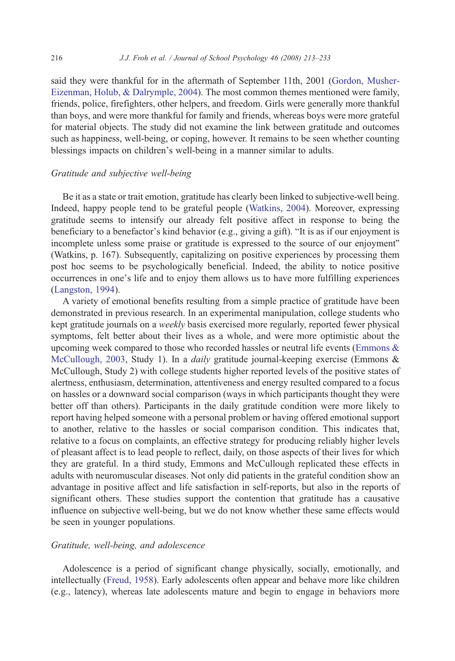said they were thankful for in the aftermath of September 11th, 2001 [\(Gordon, Musher-](#page-19-0)[Eizenman, Holub, & Dalrymple, 2004](#page-19-0)). The most common themes mentioned were family, friends, police, firefighters, other helpers, and freedom. Girls were generally more thankful than boys, and were more thankful for family and friends, whereas boys were more grateful for material objects. The study did not examine the link between gratitude and outcomes such as happiness, well-being, or coping, however. It remains to be seen whether counting blessings impacts on children's well-being in a manner similar to adults.

## Gratitude and subjective well-being

Be it as a state or trait emotion, gratitude has clearly been linked to subjective-well being. Indeed, happy people tend to be grateful people [\(Watkins, 2004](#page-20-0)). Moreover, expressing gratitude seems to intensify our already felt positive affect in response to being the beneficiary to a benefactor's kind behavior (e.g., giving a gift). "It is as if our enjoyment is incomplete unless some praise or gratitude is expressed to the source of our enjoyment" (Watkins, p. 167). Subsequently, capitalizing on positive experiences by processing them post hoc seems to be psychologically beneficial. Indeed, the ability to notice positive occurrences in one's life and to enjoy them allows us to have more fulfilling experiences ([Langston, 1994](#page-19-0)).

A variety of emotional benefits resulting from a simple practice of gratitude have been demonstrated in previous research. In an experimental manipulation, college students who kept gratitude journals on a weekly basis exercised more regularly, reported fewer physical symptoms, felt better about their lives as a whole, and were more optimistic about the upcoming week compared to those who recorded hassles or neutral life events ([Emmons &](#page-19-0) [McCullough, 2003,](#page-19-0) Study 1). In a daily gratitude journal-keeping exercise (Emmons & McCullough, Study 2) with college students higher reported levels of the positive states of alertness, enthusiasm, determination, attentiveness and energy resulted compared to a focus on hassles or a downward social comparison (ways in which participants thought they were better off than others). Participants in the daily gratitude condition were more likely to report having helped someone with a personal problem or having offered emotional support to another, relative to the hassles or social comparison condition. This indicates that, relative to a focus on complaints, an effective strategy for producing reliably higher levels of pleasant affect is to lead people to reflect, daily, on those aspects of their lives for which they are grateful. In a third study, Emmons and McCullough replicated these effects in adults with neuromuscular diseases. Not only did patients in the grateful condition show an advantage in positive affect and life satisfaction in self-reports, but also in the reports of significant others. These studies support the contention that gratitude has a causative influence on subjective well-being, but we do not know whether these same effects would be seen in younger populations.

## Gratitude, well-being, and adolescence

Adolescence is a period of significant change physically, socially, emotionally, and intellectually ([Freud, 1958\)](#page-19-0). Early adolescents often appear and behave more like children (e.g., latency), whereas late adolescents mature and begin to engage in behaviors more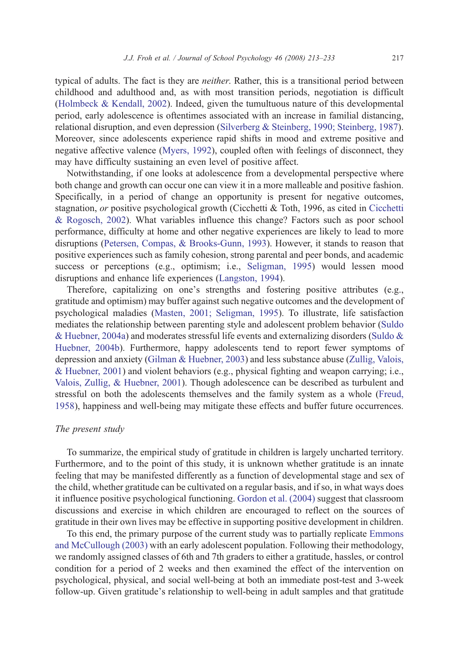typical of adults. The fact is they are neither. Rather, this is a transitional period between childhood and adulthood and, as with most transition periods, negotiation is difficult ([Holmbeck & Kendall, 2002\)](#page-19-0). Indeed, given the tumultuous nature of this developmental period, early adolescence is oftentimes associated with an increase in familial distancing, relational disruption, and even depression [\(Silverberg & Steinberg, 1990; Steinberg, 1987\)](#page-20-0). Moreover, since adolescents experience rapid shifts in mood and extreme positive and negative affective valence ([Myers, 1992\)](#page-20-0), coupled often with feelings of disconnect, they may have difficulty sustaining an even level of positive affect.

Notwithstanding, if one looks at adolescence from a developmental perspective where both change and growth can occur one can view it in a more malleable and positive fashion. Specifically, in a period of change an opportunity is present for negative outcomes, stagnation, or positive psychological growth (Cicchetti & Toth, 1996, as cited in [Cicchetti](#page-19-0) [& Rogosch, 2002\)](#page-19-0). What variables influence this change? Factors such as poor school performance, difficulty at home and other negative experiences are likely to lead to more disruptions ([Petersen, Compas, & Brooks-Gunn, 1993](#page-20-0)). However, it stands to reason that positive experiences such as family cohesion, strong parental and peer bonds, and academic success or perceptions (e.g., optimism; i.e., [Seligman, 1995\)](#page-20-0) would lessen mood disruptions and enhance life experiences [\(Langston, 1994\)](#page-19-0).

Therefore, capitalizing on one's strengths and fostering positive attributes (e.g., gratitude and optimism) may buffer against such negative outcomes and the development of psychological maladies ([Masten, 2001; Seligman, 1995\)](#page-19-0). To illustrate, life satisfaction mediates the relationship between parenting style and adolescent problem behavior [\(Suldo](#page-20-0) [& Huebner, 2004a](#page-20-0)) and moderates stressful life events and externalizing disorders (Suldo  $\&$ [Huebner, 2004b\)](#page-20-0). Furthermore, happy adolescents tend to report fewer symptoms of depression and anxiety [\(Gilman & Huebner, 2003](#page-19-0)) and less substance abuse [\(Zullig, Valois,](#page-20-0) [& Huebner, 2001\)](#page-20-0) and violent behaviors (e.g., physical fighting and weapon carrying; i.e., [Valois, Zullig, & Huebner, 2001\)](#page-20-0). Though adolescence can be described as turbulent and stressful on both the adolescents themselves and the family system as a whole ([Freud,](#page-19-0) [1958\)](#page-19-0), happiness and well-being may mitigate these effects and buffer future occurrences.

#### The present study

To summarize, the empirical study of gratitude in children is largely uncharted territory. Furthermore, and to the point of this study, it is unknown whether gratitude is an innate feeling that may be manifested differently as a function of developmental stage and sex of the child, whether gratitude can be cultivated on a regular basis, and if so, in what ways does it influence positive psychological functioning. [Gordon et al. \(2004\)](#page-19-0) suggest that classroom discussions and exercise in which children are encouraged to reflect on the sources of gratitude in their own lives may be effective in supporting positive development in children.

To this end, the primary purpose of the current study was to partially replicate [Emmons](#page-19-0) [and McCullough \(2003\)](#page-19-0) with an early adolescent population. Following their methodology, we randomly assigned classes of 6th and 7th graders to either a gratitude, hassles, or control condition for a period of 2 weeks and then examined the effect of the intervention on psychological, physical, and social well-being at both an immediate post-test and 3-week follow-up. Given gratitude's relationship to well-being in adult samples and that gratitude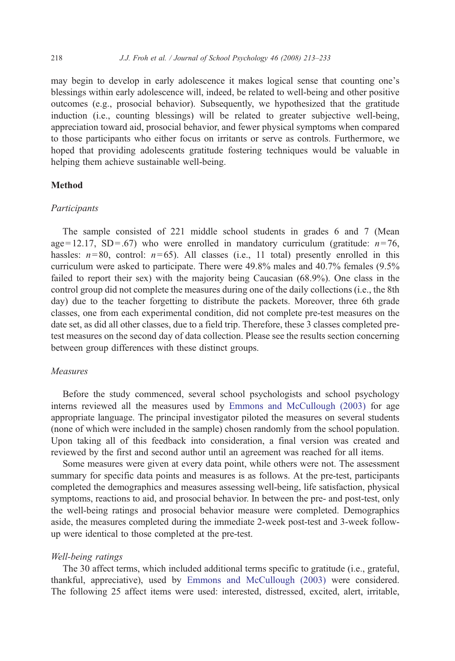may begin to develop in early adolescence it makes logical sense that counting one's blessings within early adolescence will, indeed, be related to well-being and other positive outcomes (e.g., prosocial behavior). Subsequently, we hypothesized that the gratitude induction (i.e., counting blessings) will be related to greater subjective well-being, appreciation toward aid, prosocial behavior, and fewer physical symptoms when compared to those participants who either focus on irritants or serve as controls. Furthermore, we hoped that providing adolescents gratitude fostering techniques would be valuable in helping them achieve sustainable well-being.

## Method

#### Participants

The sample consisted of 221 middle school students in grades 6 and 7 (Mean age = 12.17, SD = .67) who were enrolled in mandatory curriculum (gratitude:  $n=76$ , hassles:  $n=80$ , control:  $n=65$ ). All classes (i.e., 11 total) presently enrolled in this curriculum were asked to participate. There were 49.8% males and 40.7% females (9.5% failed to report their sex) with the majority being Caucasian (68.9%). One class in the control group did not complete the measures during one of the daily collections (i.e., the 8th day) due to the teacher forgetting to distribute the packets. Moreover, three 6th grade classes, one from each experimental condition, did not complete pre-test measures on the date set, as did all other classes, due to a field trip. Therefore, these 3 classes completed pretest measures on the second day of data collection. Please see the results section concerning between group differences with these distinct groups.

## Measures

Before the study commenced, several school psychologists and school psychology interns reviewed all the measures used by [Emmons and McCullough \(2003\)](#page-19-0) for age appropriate language. The principal investigator piloted the measures on several students (none of which were included in the sample) chosen randomly from the school population. Upon taking all of this feedback into consideration, a final version was created and reviewed by the first and second author until an agreement was reached for all items.

Some measures were given at every data point, while others were not. The assessment summary for specific data points and measures is as follows. At the pre-test, participants completed the demographics and measures assessing well-being, life satisfaction, physical symptoms, reactions to aid, and prosocial behavior. In between the pre- and post-test, only the well-being ratings and prosocial behavior measure were completed. Demographics aside, the measures completed during the immediate 2-week post-test and 3-week followup were identical to those completed at the pre-test.

#### Well-being ratings

The 30 affect terms, which included additional terms specific to gratitude (i.e., grateful, thankful, appreciative), used by [Emmons and McCullough \(2003\)](#page-19-0) were considered. The following 25 affect items were used: interested, distressed, excited, alert, irritable,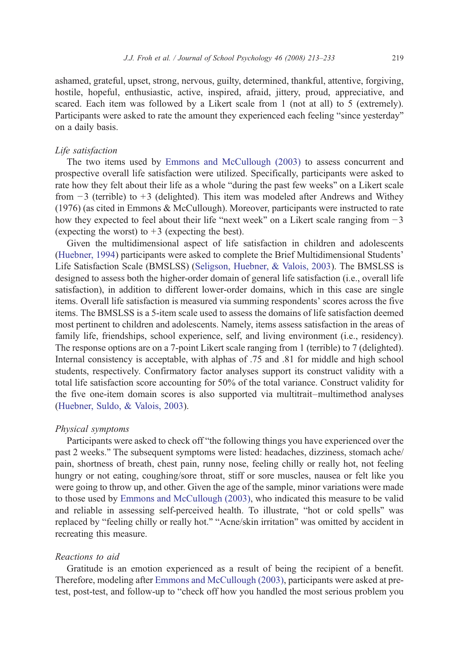ashamed, grateful, upset, strong, nervous, guilty, determined, thankful, attentive, forgiving, hostile, hopeful, enthusiastic, active, inspired, afraid, jittery, proud, appreciative, and scared. Each item was followed by a Likert scale from 1 (not at all) to 5 (extremely). Participants were asked to rate the amount they experienced each feeling "since yesterday"

#### Life satisfaction

on a daily basis.

The two items used by [Emmons and McCullough \(2003\)](#page-19-0) to assess concurrent and prospective overall life satisfaction were utilized. Specifically, participants were asked to rate how they felt about their life as a whole "during the past few weeks" on a Likert scale from  $-3$  (terrible) to  $+3$  (delighted). This item was modeled after Andrews and Withey (1976) (as cited in Emmons & McCullough). Moreover, participants were instructed to rate how they expected to feel about their life "next week" on a Likert scale ranging from −3 (expecting the worst) to  $+3$  (expecting the best).

Given the multidimensional aspect of life satisfaction in children and adolescents ([Huebner, 1994\)](#page-19-0) participants were asked to complete the Brief Multidimensional Students' Life Satisfaction Scale (BMSLSS) ([Seligson, Huebner, & Valois, 2003](#page-20-0)). The BMSLSS is designed to assess both the higher-order domain of general life satisfaction (i.e., overall life satisfaction), in addition to different lower-order domains, which in this case are single items. Overall life satisfaction is measured via summing respondents' scores across the five items. The BMSLSS is a 5-item scale used to assess the domains of life satisfaction deemed most pertinent to children and adolescents. Namely, items assess satisfaction in the areas of family life, friendships, school experience, self, and living environment (i.e., residency). The response options are on a 7-point Likert scale ranging from 1 (terrible) to 7 (delighted). Internal consistency is acceptable, with alphas of .75 and .81 for middle and high school students, respectively. Confirmatory factor analyses support its construct validity with a total life satisfaction score accounting for 50% of the total variance. Construct validity for the five one-item domain scores is also supported via multitrait–multimethod analyses ([Huebner, Suldo, & Valois, 2003\)](#page-19-0).

#### Physical symptoms

Participants were asked to check off "the following things you have experienced over the past 2 weeks." The subsequent symptoms were listed: headaches, dizziness, stomach ache/ pain, shortness of breath, chest pain, runny nose, feeling chilly or really hot, not feeling hungry or not eating, coughing/sore throat, stiff or sore muscles, nausea or felt like you were going to throw up, and other. Given the age of the sample, minor variations were made to those used by [Emmons and McCullough \(2003\),](#page-19-0) who indicated this measure to be valid and reliable in assessing self-perceived health. To illustrate, "hot or cold spells" was replaced by "feeling chilly or really hot." "Acne/skin irritation" was omitted by accident in recreating this measure.

#### Reactions to aid

Gratitude is an emotion experienced as a result of being the recipient of a benefit. Therefore, modeling after [Emmons and McCullough \(2003\),](#page-19-0) participants were asked at pretest, post-test, and follow-up to "check off how you handled the most serious problem you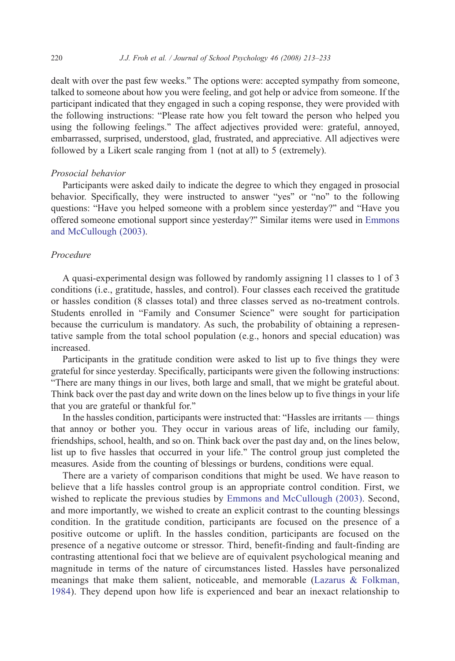dealt with over the past few weeks." The options were: accepted sympathy from someone, talked to someone about how you were feeling, and got help or advice from someone. If the participant indicated that they engaged in such a coping response, they were provided with the following instructions: "Please rate how you felt toward the person who helped you using the following feelings." The affect adjectives provided were: grateful, annoyed, embarrassed, surprised, understood, glad, frustrated, and appreciative. All adjectives were followed by a Likert scale ranging from 1 (not at all) to 5 (extremely).

#### Prosocial behavior

Participants were asked daily to indicate the degree to which they engaged in prosocial behavior. Specifically, they were instructed to answer "yes" or "no" to the following questions: "Have you helped someone with a problem since yesterday?" and "Have you offered someone emotional support since yesterday?" Similar items were used in [Emmons](#page-19-0) [and McCullough \(2003\)](#page-19-0).

#### Procedure

A quasi-experimental design was followed by randomly assigning 11 classes to 1 of 3 conditions (i.e., gratitude, hassles, and control). Four classes each received the gratitude or hassles condition (8 classes total) and three classes served as no-treatment controls. Students enrolled in "Family and Consumer Science" were sought for participation because the curriculum is mandatory. As such, the probability of obtaining a representative sample from the total school population (e.g., honors and special education) was increased.

Participants in the gratitude condition were asked to list up to five things they were grateful for since yesterday. Specifically, participants were given the following instructions: "There are many things in our lives, both large and small, that we might be grateful about. Think back over the past day and write down on the lines below up to five things in your life that you are grateful or thankful for."

In the hassles condition, participants were instructed that: "Hassles are irritants — things that annoy or bother you. They occur in various areas of life, including our family, friendships, school, health, and so on. Think back over the past day and, on the lines below, list up to five hassles that occurred in your life." The control group just completed the measures. Aside from the counting of blessings or burdens, conditions were equal.

There are a variety of comparison conditions that might be used. We have reason to believe that a life hassles control group is an appropriate control condition. First, we wished to replicate the previous studies by [Emmons and McCullough \(2003\).](#page-19-0) Second, and more importantly, we wished to create an explicit contrast to the counting blessings condition. In the gratitude condition, participants are focused on the presence of a positive outcome or uplift. In the hassles condition, participants are focused on the presence of a negative outcome or stressor. Third, benefit-finding and fault-finding are contrasting attentional foci that we believe are of equivalent psychological meaning and magnitude in terms of the nature of circumstances listed. Hassles have personalized meanings that make them salient, noticeable, and memorable (Lazarus  $\&$  Folkman, [1984\)](#page-19-0). They depend upon how life is experienced and bear an inexact relationship to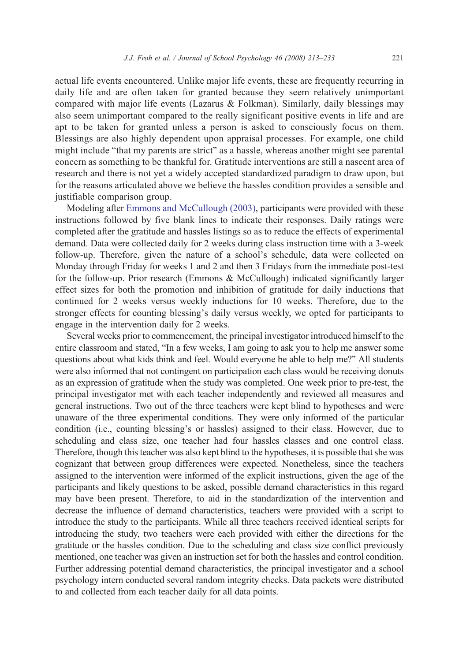actual life events encountered. Unlike major life events, these are frequently recurring in daily life and are often taken for granted because they seem relatively unimportant compared with major life events (Lazarus & Folkman). Similarly, daily blessings may also seem unimportant compared to the really significant positive events in life and are apt to be taken for granted unless a person is asked to consciously focus on them. Blessings are also highly dependent upon appraisal processes. For example, one child might include "that my parents are strict" as a hassle, whereas another might see parental concern as something to be thankful for. Gratitude interventions are still a nascent area of research and there is not yet a widely accepted standardized paradigm to draw upon, but for the reasons articulated above we believe the hassles condition provides a sensible and justifiable comparison group.

Modeling after [Emmons and McCullough \(2003\),](#page-19-0) participants were provided with these instructions followed by five blank lines to indicate their responses. Daily ratings were completed after the gratitude and hassles listings so as to reduce the effects of experimental demand. Data were collected daily for 2 weeks during class instruction time with a 3-week follow-up. Therefore, given the nature of a school's schedule, data were collected on Monday through Friday for weeks 1 and 2 and then 3 Fridays from the immediate post-test for the follow-up. Prior research (Emmons & McCullough) indicated significantly larger effect sizes for both the promotion and inhibition of gratitude for daily inductions that continued for 2 weeks versus weekly inductions for 10 weeks. Therefore, due to the stronger effects for counting blessing's daily versus weekly, we opted for participants to engage in the intervention daily for 2 weeks.

Several weeks prior to commencement, the principal investigator introduced himself to the entire classroom and stated, "In a few weeks, I am going to ask you to help me answer some questions about what kids think and feel. Would everyone be able to help me?" All students were also informed that not contingent on participation each class would be receiving donuts as an expression of gratitude when the study was completed. One week prior to pre-test, the principal investigator met with each teacher independently and reviewed all measures and general instructions. Two out of the three teachers were kept blind to hypotheses and were unaware of the three experimental conditions. They were only informed of the particular condition (i.e., counting blessing's or hassles) assigned to their class. However, due to scheduling and class size, one teacher had four hassles classes and one control class. Therefore, though this teacher was also kept blind to the hypotheses, it is possible that she was cognizant that between group differences were expected. Nonetheless, since the teachers assigned to the intervention were informed of the explicit instructions, given the age of the participants and likely questions to be asked, possible demand characteristics in this regard may have been present. Therefore, to aid in the standardization of the intervention and decrease the influence of demand characteristics, teachers were provided with a script to introduce the study to the participants. While all three teachers received identical scripts for introducing the study, two teachers were each provided with either the directions for the gratitude or the hassles condition. Due to the scheduling and class size conflict previously mentioned, one teacher was given an instruction set for both the hassles and control condition. Further addressing potential demand characteristics, the principal investigator and a school psychology intern conducted several random integrity checks. Data packets were distributed to and collected from each teacher daily for all data points.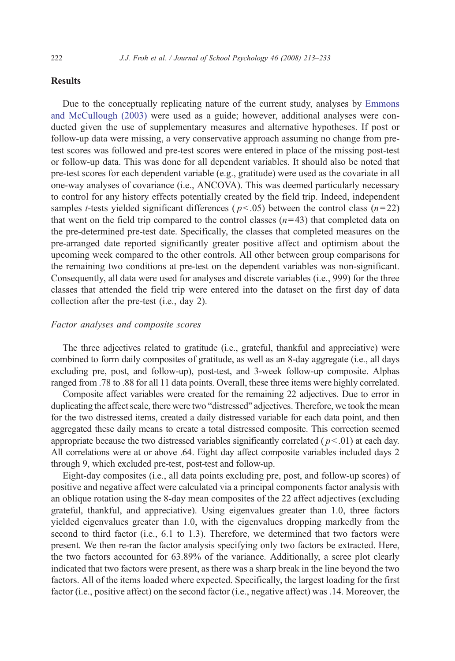## **Results**

Due to the conceptually replicating nature of the current study, analyses by [Emmons](#page-19-0) [and McCullough \(2003\)](#page-19-0) were used as a guide; however, additional analyses were conducted given the use of supplementary measures and alternative hypotheses. If post or follow-up data were missing, a very conservative approach assuming no change from pretest scores was followed and pre-test scores were entered in place of the missing post-test or follow-up data. This was done for all dependent variables. It should also be noted that pre-test scores for each dependent variable (e.g., gratitude) were used as the covariate in all one-way analyses of covariance (i.e., ANCOVA). This was deemed particularly necessary to control for any history effects potentially created by the field trip. Indeed, independent samples *t*-tests yielded significant differences ( $p$ <.05) between the control class (n=22) that went on the field trip compared to the control classes  $(n=43)$  that completed data on the pre-determined pre-test date. Specifically, the classes that completed measures on the pre-arranged date reported significantly greater positive affect and optimism about the upcoming week compared to the other controls. All other between group comparisons for the remaining two conditions at pre-test on the dependent variables was non-significant. Consequently, all data were used for analyses and discrete variables (i.e., 999) for the three classes that attended the field trip were entered into the dataset on the first day of data collection after the pre-test (i.e., day 2).

## Factor analyses and composite scores

The three adjectives related to gratitude (i.e., grateful, thankful and appreciative) were combined to form daily composites of gratitude, as well as an 8-day aggregate (i.e., all days excluding pre, post, and follow-up), post-test, and 3-week follow-up composite. Alphas ranged from .78 to .88 for all 11 data points. Overall, these three items were highly correlated.

Composite affect variables were created for the remaining 22 adjectives. Due to error in duplicating the affect scale, there were two "distressed" adjectives. Therefore, we took the mean for the two distressed items, created a daily distressed variable for each data point, and then aggregated these daily means to create a total distressed composite. This correction seemed appropriate because the two distressed variables significantly correlated ( $p<.01$ ) at each day. All correlations were at or above .64. Eight day affect composite variables included days 2 through 9, which excluded pre-test, post-test and follow-up.

Eight-day composites (i.e., all data points excluding pre, post, and follow-up scores) of positive and negative affect were calculated via a principal components factor analysis with an oblique rotation using the 8-day mean composites of the 22 affect adjectives (excluding grateful, thankful, and appreciative). Using eigenvalues greater than 1.0, three factors yielded eigenvalues greater than 1.0, with the eigenvalues dropping markedly from the second to third factor (i.e., 6.1 to 1.3). Therefore, we determined that two factors were present. We then re-ran the factor analysis specifying only two factors be extracted. Here, the two factors accounted for 63.89% of the variance. Additionally, a scree plot clearly indicated that two factors were present, as there was a sharp break in the line beyond the two factors. All of the items loaded where expected. Specifically, the largest loading for the first factor (i.e., positive affect) on the second factor (i.e., negative affect) was .14. Moreover, the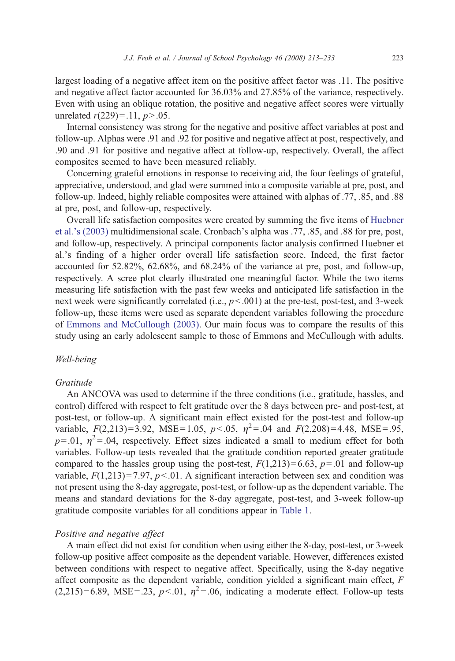largest loading of a negative affect item on the positive affect factor was .11. The positive and negative affect factor accounted for 36.03% and 27.85% of the variance, respectively. Even with using an oblique rotation, the positive and negative affect scores were virtually unrelated  $r(229) = .11, p > .05$ .

Internal consistency was strong for the negative and positive affect variables at post and follow-up. Alphas were .91 and .92 for positive and negative affect at post, respectively, and .90 and .91 for positive and negative affect at follow-up, respectively. Overall, the affect composites seemed to have been measured reliably.

Concerning grateful emotions in response to receiving aid, the four feelings of grateful, appreciative, understood, and glad were summed into a composite variable at pre, post, and follow-up. Indeed, highly reliable composites were attained with alphas of .77, .85, and .88 at pre, post, and follow-up, respectively.

Overall life satisfaction composites were created by summing the five items of [Huebner](#page-19-0) [et al.'s \(2003\)](#page-19-0) multidimensional scale. Cronbach's alpha was .77, .85, and .88 for pre, post, and follow-up, respectively. A principal components factor analysis confirmed Huebner et al.'s finding of a higher order overall life satisfaction score. Indeed, the first factor accounted for 52.82%, 62.68%, and 68.24% of the variance at pre, post, and follow-up, respectively. A scree plot clearly illustrated one meaningful factor. While the two items measuring life satisfaction with the past few weeks and anticipated life satisfaction in the next week were significantly correlated (i.e.,  $p < .001$ ) at the pre-test, post-test, and 3-week follow-up, these items were used as separate dependent variables following the procedure of [Emmons and McCullough \(2003\).](#page-19-0) Our main focus was to compare the results of this study using an early adolescent sample to those of Emmons and McCullough with adults.

#### Well-being

## Gratitude

An ANCOVA was used to determine if the three conditions (i.e., gratitude, hassles, and control) differed with respect to felt gratitude over the 8 days between pre- and post-test, at post-test, or follow-up. A significant main effect existed for the post-test and follow-up variable,  $F(2,213) = 3.92$ , MSE = 1.05,  $p < .05$ ,  $\eta^2 = .04$  and  $F(2,208) = 4.48$ , MSE = .95,  $p=0.01$ ,  $\eta^2=0.04$ , respectively. Effect sizes indicated a small to medium effect for both variables. Follow-up tests revealed that the gratitude condition reported greater gratitude compared to the hassles group using the post-test,  $F(1,213)=6.63$ ,  $p=.01$  and follow-up variable,  $F(1,213) = 7.97$ ,  $p < 0.01$ . A significant interaction between sex and condition was not present using the 8-day aggregate, post-test, or follow-up as the dependent variable. The means and standard deviations for the 8-day aggregate, post-test, and 3-week follow-up gratitude composite variables for all conditions appear in [Table 1](#page-11-0).

## Positive and negative affect

A main effect did not exist for condition when using either the 8-day, post-test, or 3-week follow-up positive affect composite as the dependent variable. However, differences existed between conditions with respect to negative affect. Specifically, using the 8-day negative affect composite as the dependent variable, condition yielded a significant main effect, F  $(2,215)= 6.89$ , MSE = .23,  $p< 0.01$ ,  $\eta^2$  = .06, indicating a moderate effect. Follow-up tests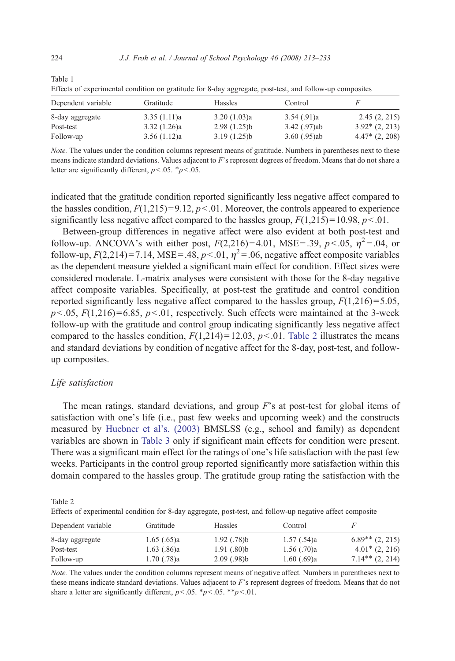| Dependent variable | Gratitude   | Hassles     | Control        |                    |
|--------------------|-------------|-------------|----------------|--------------------|
| 8-day aggregate    | 3.35(1.11)a | 3.20(1.03)a | $3.54$ (.91)a  | 2.45(2, 215)       |
| Post-test          | 3.32(1.26)a | 2.98(1.25)b | 3.42 (.97)ab   | $3.92*(2, 213)$    |
| Follow-up          | 3.56(1.12)a | 3.19(1.25)b | $3.60$ (.95)ab | $4.47*$ $(2, 208)$ |

Table 1

Effects of experimental condition on gratitude for 8-day aggregate, post-test, and follow-up composites

Note. The values under the condition columns represent means of gratitude. Numbers in parentheses next to these means indicate standard deviations. Values adjacent to  $F<sup>s</sup>$  represent degrees of freedom. Means that do not share a letter are significantly different,  $p<0.05$ .  $p<0.05$ .

indicated that the gratitude condition reported significantly less negative affect compared to the hassles condition,  $F(1,215) = 9.12$ ,  $p < 0.01$ . Moreover, the controls appeared to experience significantly less negative affect compared to the hassles group,  $F(1,215) = 10.98$ ,  $p < 0.01$ .

Between-group differences in negative affect were also evident at both post-test and follow-up. ANCOVA's with either post,  $F(2,216)=4.01$ , MSE=.39,  $p<.05$ ,  $\eta^2=.04$ , or follow-up,  $F(2,214) = 7.14$ , MSE = .48,  $p < 0.01$ ,  $\eta^2 = 0.06$ , negative affect composite variables as the dependent measure yielded a significant main effect for condition. Effect sizes were considered moderate. L-matrix analyses were consistent with those for the 8-day negative affect composite variables. Specifically, at post-test the gratitude and control condition reported significantly less negative affect compared to the hassles group,  $F(1,216) = 5.05$ ,  $p<0.05$ ,  $F(1,216) = 6.85$ ,  $p<0.01$ , respectively. Such effects were maintained at the 3-week follow-up with the gratitude and control group indicating significantly less negative affect compared to the hassles condition,  $F(1,214) = 12.03$ ,  $p < 0.01$ . [Table 2](#page-11-0) illustrates the means and standard deviations by condition of negative affect for the 8-day, post-test, and followup composites.

#### Life satisfaction

The mean ratings, standard deviations, and group F's at post-test for global items of satisfaction with one's life (i.e., past few weeks and upcoming week) and the constructs measured by [Huebner et al's. \(2003\)](#page-19-0) BMSLSS (e.g., school and family) as dependent variables are shown in [Table 3](#page-12-0) only if significant main effects for condition were present. There was a significant main effect for the ratings of one's life satisfaction with the past few weeks. Participants in the control group reported significantly more satisfaction within this domain compared to the hassles group. The gratitude group rating the satisfaction with the

Table 2

Effects of experimental condition for 8-day aggregate, post-test, and follow-up negative affect composite

| Dependent variable | Gratitude     | <b>Hassles</b>   | Control       |                   |
|--------------------|---------------|------------------|---------------|-------------------|
| 8-day aggregate    | $1.65$ (.65)a | $1.92$ (.78) $b$ | 1.57(.54)a    | $6.89**$ (2, 215) |
| Post-test          | $1.63$ (.86)a | 1.91(.80)        | $1.56$ (.70)a | $4.01*(2, 216)$   |
| Follow-up          | $1.70$ (.78)a | $2.09(.98)$ b    | $1.60$ (.69)a | $7.14**$ (2, 214) |

<span id="page-11-0"></span>Note. The values under the condition columns represent means of negative affect. Numbers in parentheses next to these means indicate standard deviations. Values adjacent to F's represent degrees of freedom. Means that do not share a letter are significantly different,  $p<.05.$  \* $p<.05.$  \*\* $p<.01.$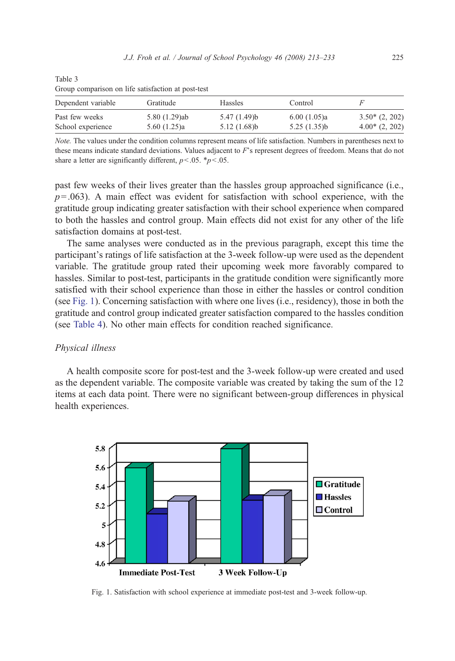| Sroup comparison on the satisfaction at post test |               |             |             |                 |  |
|---------------------------------------------------|---------------|-------------|-------------|-----------------|--|
| Dependent variable                                | Gratitude     | Hassles     | Control     |                 |  |
| Past few weeks                                    | 5.80 (1.29)ab | 5.47(1.49)b | 6.00(1.05)a | $3.50*(2, 202)$ |  |
| School experience                                 | 5.60(1.25)a   | 5.12(1.68)b | 5.25(1.35)b | $4.00*(2, 202)$ |  |

Table 3 Group comparison on life satisfaction at post-test

Note. The values under the condition columns represent means of life satisfaction. Numbers in parentheses next to these means indicate standard deviations. Values adjacent to F's represent degrees of freedom. Means that do not share a letter are significantly different,  $p < .05$ .  $\frac{k}{p} < .05$ .

past few weeks of their lives greater than the hassles group approached significance (i.e.,  $p = 0.063$ ). A main effect was evident for satisfaction with school experience, with the gratitude group indicating greater satisfaction with their school experience when compared to both the hassles and control group. Main effects did not exist for any other of the life satisfaction domains at post-test.

The same analyses were conducted as in the previous paragraph, except this time the participant's ratings of life satisfaction at the 3-week follow-up were used as the dependent variable. The gratitude group rated their upcoming week more favorably compared to hassles. Similar to post-test, participants in the gratitude condition were significantly more satisfied with their school experience than those in either the hassles or control condition (see [Fig. 1\)](#page-12-0). Concerning satisfaction with where one lives (i.e., residency), those in both the gratitude and control group indicated greater satisfaction compared to the hassles condition (see [Table 4](#page-13-0)). No other main effects for condition reached significance.

## Physical illness

A health composite score for post-test and the 3-week follow-up were created and used as the dependent variable. The composite variable was created by taking the sum of the 12 items at each data point. There were no significant between-group differences in physical health experiences.



<span id="page-12-0"></span>Fig. 1. Satisfaction with school experience at immediate post-test and 3-week follow-up.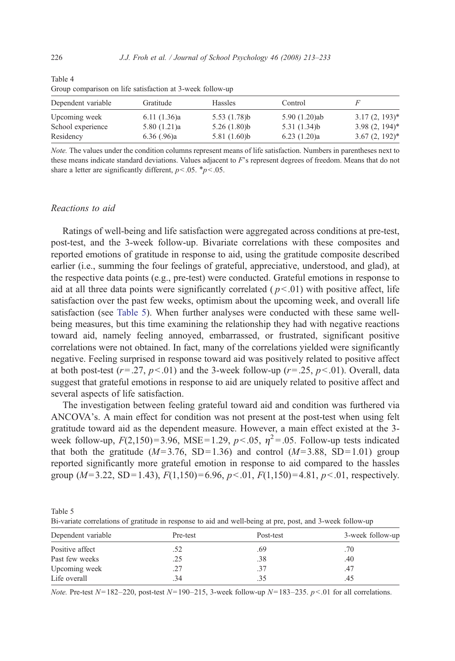| Dependent variable | Gratitude     | Hassles     | Control         |                  |
|--------------------|---------------|-------------|-----------------|------------------|
| Upcoming week      | 6.11(1.36)a   | 5.53(1.78)b | $5.90(1.20)$ ab | $3.17(2, 193)^*$ |
| School experience  | 5.80(1.21)a   | 5.26(1.80)b | 5.31(1.34)b     | $3.98(2, 194)^*$ |
| Residency          | $6.36$ (.96)a | 5.81(1.60)b | 6.23(1.20)a     | $3.67(2, 192)^*$ |

Table 4 Group comparison on life satisfaction at 3-week follow-up

Note. The values under the condition columns represent means of life satisfaction. Numbers in parentheses next to these means indicate standard deviations. Values adjacent to F's represent degrees of freedom. Means that do not share a letter are significantly different,  $p<.05.$  \* $p<.05$ .

## Reactions to aid

Ratings of well-being and life satisfaction were aggregated across conditions at pre-test, post-test, and the 3-week follow-up. Bivariate correlations with these composites and reported emotions of gratitude in response to aid, using the gratitude composite described earlier (i.e., summing the four feelings of grateful, appreciative, understood, and glad), at the respective data points (e.g., pre-test) were conducted. Grateful emotions in response to aid at all three data points were significantly correlated ( $p<.01$ ) with positive affect, life satisfaction over the past few weeks, optimism about the upcoming week, and overall life satisfaction (see [Table 5\)](#page-13-0). When further analyses were conducted with these same wellbeing measures, but this time examining the relationship they had with negative reactions toward aid, namely feeling annoyed, embarrassed, or frustrated, significant positive correlations were not obtained. In fact, many of the correlations yielded were significantly negative. Feeling surprised in response toward aid was positively related to positive affect at both post-test ( $r = .27$ ,  $p < .01$ ) and the 3-week follow-up ( $r = .25$ ,  $p < .01$ ). Overall, data suggest that grateful emotions in response to aid are uniquely related to positive affect and several aspects of life satisfaction.

The investigation between feeling grateful toward aid and condition was furthered via ANCOVA's. A main effect for condition was not present at the post-test when using felt gratitude toward aid as the dependent measure. However, a main effect existed at the 3 week follow-up,  $F(2,150) = 3.96$ , MSE = 1.29,  $p < .05$ ,  $\eta^2 = .05$ . Follow-up tests indicated that both the gratitude  $(M=3.76, SD=1.36)$  and control  $(M=3.88, SD=1.01)$  group reported significantly more grateful emotion in response to aid compared to the hassles group ( $M=3.22$ , SD = 1.43),  $F(1,150) = 6.96$ ,  $p<.01$ ,  $F(1,150) = 4.81$ ,  $p<.01$ , respectively.

| Table 5                                                                                                   |  |  |
|-----------------------------------------------------------------------------------------------------------|--|--|
| Bi-variate correlations of gratitude in response to aid and well-being at pre, post, and 3-week follow-up |  |  |

|                    |          |           | 3-week follow-up |  |
|--------------------|----------|-----------|------------------|--|
| Dependent variable | Pre-test | Post-test |                  |  |
| Positive affect    | .52      | .69       | .70              |  |
| Past few weeks     | .25      | .38       | .40              |  |
| Upcoming week      | .27      | .37       | .47              |  |
| Life overall       | .34      |           | .45              |  |

<span id="page-13-0"></span>Note. Pre-test  $N= 182-220$ , post-test  $N= 190-215$ , 3-week follow-up  $N= 183-235$ .  $p < 01$  for all correlations.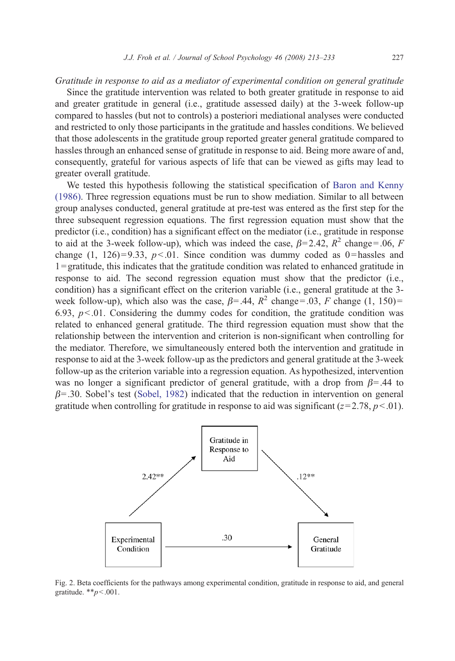Gratitude in response to aid as a mediator of experimental condition on general gratitude

Since the gratitude intervention was related to both greater gratitude in response to aid and greater gratitude in general (i.e., gratitude assessed daily) at the 3-week follow-up compared to hassles (but not to controls) a posteriori mediational analyses were conducted and restricted to only those participants in the gratitude and hassles conditions. We believed that those adolescents in the gratitude group reported greater general gratitude compared to hassles through an enhanced sense of gratitude in response to aid. Being more aware of and, consequently, grateful for various aspects of life that can be viewed as gifts may lead to greater overall gratitude.

We tested this hypothesis following the statistical specification of [Baron and Kenny](#page-19-0) [\(1986\)](#page-19-0). Three regression equations must be run to show mediation. Similar to all between group analyses conducted, general gratitude at pre-test was entered as the first step for the three subsequent regression equations. The first regression equation must show that the predictor (i.e., condition) has a significant effect on the mediator (i.e., gratitude in response to aid at the 3-week follow-up), which was indeed the case,  $\beta$ = 2.42,  $R^2$  change = .06, F change (1, 126)=9.33,  $p<0.01$ . Since condition was dummy coded as 0= hassles and 1 = gratitude, this indicates that the gratitude condition was related to enhanced gratitude in response to aid. The second regression equation must show that the predictor (i.e., condition) has a significant effect on the criterion variable (i.e., general gratitude at the 3 week follow-up), which also was the case,  $\beta$ =.44,  $R^2$  change=.03, F change (1, 150)= 6.93,  $p<0.01$ . Considering the dummy codes for condition, the gratitude condition was related to enhanced general gratitude. The third regression equation must show that the relationship between the intervention and criterion is non-significant when controlling for the mediator. Therefore, we simultaneously entered both the intervention and gratitude in response to aid at the 3-week follow-up as the predictors and general gratitude at the 3-week follow-up as the criterion variable into a regression equation. As hypothesized, intervention was no longer a significant predictor of general gratitude, with a drop from  $\beta$ =.44 to  $\beta$ =.30. Sobel's test [\(Sobel, 1982\)](#page-20-0) indicated that the reduction in intervention on general gratitude when controlling for gratitude in response to aid was significant ( $z=2.78$ ,  $p<0.01$ ).



<span id="page-14-0"></span>Fig. 2. Beta coefficients for the pathways among experimental condition, gratitude in response to aid, and general gratitude.  $**_p<.001$ .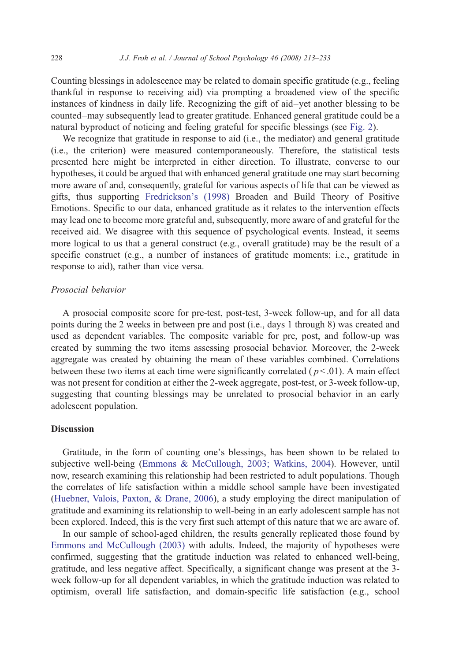Counting blessings in adolescence may be related to domain specific gratitude (e.g., feeling thankful in response to receiving aid) via prompting a broadened view of the specific instances of kindness in daily life. Recognizing the gift of aid–yet another blessing to be counted–may subsequently lead to greater gratitude. Enhanced general gratitude could be a natural byproduct of noticing and feeling grateful for specific blessings (see [Fig. 2\)](#page-14-0).

We recognize that gratitude in response to aid (i.e., the mediator) and general gratitude (i.e., the criterion) were measured contemporaneously. Therefore, the statistical tests presented here might be interpreted in either direction. To illustrate, converse to our hypotheses, it could be argued that with enhanced general gratitude one may start becoming more aware of and, consequently, grateful for various aspects of life that can be viewed as gifts, thus supporting [Fredrickson's \(1998\)](#page-19-0) Broaden and Build Theory of Positive Emotions. Specific to our data, enhanced gratitude as it relates to the intervention effects may lead one to become more grateful and, subsequently, more aware of and grateful for the received aid. We disagree with this sequence of psychological events. Instead, it seems more logical to us that a general construct (e.g., overall gratitude) may be the result of a specific construct (e.g., a number of instances of gratitude moments; i.e., gratitude in response to aid), rather than vice versa.

## Prosocial behavior

A prosocial composite score for pre-test, post-test, 3-week follow-up, and for all data points during the 2 weeks in between pre and post (i.e., days 1 through 8) was created and used as dependent variables. The composite variable for pre, post, and follow-up was created by summing the two items assessing prosocial behavior. Moreover, the 2-week aggregate was created by obtaining the mean of these variables combined. Correlations between these two items at each time were significantly correlated ( $p<.01$ ). A main effect was not present for condition at either the 2-week aggregate, post-test, or 3-week follow-up, suggesting that counting blessings may be unrelated to prosocial behavior in an early adolescent population.

## **Discussion**

Gratitude, in the form of counting one's blessings, has been shown to be related to subjective well-being [\(Emmons & McCullough, 2003; Watkins, 2004](#page-19-0)). However, until now, research examining this relationship had been restricted to adult populations. Though the correlates of life satisfaction within a middle school sample have been investigated ([Huebner, Valois, Paxton, & Drane, 2006\)](#page-19-0), a study employing the direct manipulation of gratitude and examining its relationship to well-being in an early adolescent sample has not been explored. Indeed, this is the very first such attempt of this nature that we are aware of.

In our sample of school-aged children, the results generally replicated those found by [Emmons and McCullough \(2003\)](#page-19-0) with adults. Indeed, the majority of hypotheses were confirmed, suggesting that the gratitude induction was related to enhanced well-being, gratitude, and less negative affect. Specifically, a significant change was present at the 3 week follow-up for all dependent variables, in which the gratitude induction was related to optimism, overall life satisfaction, and domain-specific life satisfaction (e.g., school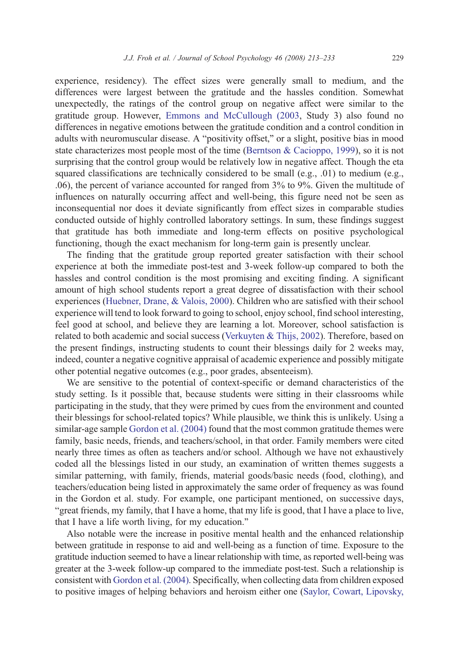experience, residency). The effect sizes were generally small to medium, and the differences were largest between the gratitude and the hassles condition. Somewhat unexpectedly, the ratings of the control group on negative affect were similar to the gratitude group. However, [Emmons and McCullough \(2003](#page-19-0), Study 3) also found no differences in negative emotions between the gratitude condition and a control condition in adults with neuromuscular disease. A "positivity offset," or a slight, positive bias in mood state characterizes most people most of the time [\(Berntson & Cacioppo, 1999](#page-19-0)), so it is not surprising that the control group would be relatively low in negative affect. Though the eta squared classifications are technically considered to be small (e.g., .01) to medium (e.g., .06), the percent of variance accounted for ranged from 3% to 9%. Given the multitude of influences on naturally occurring affect and well-being, this figure need not be seen as inconsequential nor does it deviate significantly from effect sizes in comparable studies conducted outside of highly controlled laboratory settings. In sum, these findings suggest that gratitude has both immediate and long-term effects on positive psychological functioning, though the exact mechanism for long-term gain is presently unclear.

The finding that the gratitude group reported greater satisfaction with their school experience at both the immediate post-test and 3-week follow-up compared to both the hassles and control condition is the most promising and exciting finding. A significant amount of high school students report a great degree of dissatisfaction with their school experiences ([Huebner, Drane, & Valois, 2000\)](#page-19-0). Children who are satisfied with their school experience will tend to look forward to going to school, enjoy school, find school interesting, feel good at school, and believe they are learning a lot. Moreover, school satisfaction is related to both academic and social success [\(Verkuyten & Thijs, 2002](#page-20-0)). Therefore, based on the present findings, instructing students to count their blessings daily for 2 weeks may, indeed, counter a negative cognitive appraisal of academic experience and possibly mitigate other potential negative outcomes (e.g., poor grades, absenteeism).

We are sensitive to the potential of context-specific or demand characteristics of the study setting. Is it possible that, because students were sitting in their classrooms while participating in the study, that they were primed by cues from the environment and counted their blessings for school-related topics? While plausible, we think this is unlikely. Using a similar-age sample [Gordon et al. \(2004\)](#page-19-0) found that the most common gratitude themes were family, basic needs, friends, and teachers/school, in that order. Family members were cited nearly three times as often as teachers and/or school. Although we have not exhaustively coded all the blessings listed in our study, an examination of written themes suggests a similar patterning, with family, friends, material goods/basic needs (food, clothing), and teachers/education being listed in approximately the same order of frequency as was found in the Gordon et al. study. For example, one participant mentioned, on successive days, "great friends, my family, that I have a home, that my life is good, that I have a place to live, that I have a life worth living, for my education."

Also notable were the increase in positive mental health and the enhanced relationship between gratitude in response to aid and well-being as a function of time. Exposure to the gratitude induction seemed to have a linear relationship with time, as reported well-being was greater at the 3-week follow-up compared to the immediate post-test. Such a relationship is consistent with [Gordon et al. \(2004\)](#page-19-0). Specifically, when collecting data from children exposed to positive images of helping behaviors and heroism either one [\(Saylor, Cowart, Lipovsky,](#page-20-0)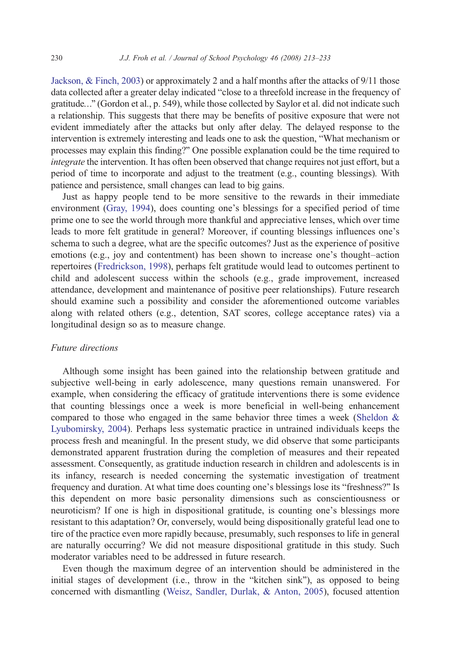[Jackson, & Finch, 2003\)](#page-20-0) or approximately 2 and a half months after the attacks of 9/11 those data collected after a greater delay indicated "close to a threefold increase in the frequency of gratitude…" (Gordon et al., p. 549), while those collected by Saylor et al. did not indicate such a relationship. This suggests that there may be benefits of positive exposure that were not evident immediately after the attacks but only after delay. The delayed response to the intervention is extremely interesting and leads one to ask the question, "What mechanism or processes may explain this finding?" One possible explanation could be the time required to integrate the intervention. It has often been observed that change requires not just effort, but a period of time to incorporate and adjust to the treatment (e.g., counting blessings). With patience and persistence, small changes can lead to big gains.

Just as happy people tend to be more sensitive to the rewards in their immediate environment [\(Gray, 1994\)](#page-19-0), does counting one's blessings for a specified period of time prime one to see the world through more thankful and appreciative lenses, which over time leads to more felt gratitude in general? Moreover, if counting blessings influences one's schema to such a degree, what are the specific outcomes? Just as the experience of positive emotions (e.g., joy and contentment) has been shown to increase one's thought–action repertoires [\(Fredrickson, 1998\)](#page-19-0), perhaps felt gratitude would lead to outcomes pertinent to child and adolescent success within the schools (e.g., grade improvement, increased attendance, development and maintenance of positive peer relationships). Future research should examine such a possibility and consider the aforementioned outcome variables along with related others (e.g., detention, SAT scores, college acceptance rates) via a longitudinal design so as to measure change.

## Future directions

Although some insight has been gained into the relationship between gratitude and subjective well-being in early adolescence, many questions remain unanswered. For example, when considering the efficacy of gratitude interventions there is some evidence that counting blessings once a week is more beneficial in well-being enhancement compared to those who engaged in the same behavior three times a week (Sheldon  $\&$ [Lyubomirsky, 2004\)](#page-20-0). Perhaps less systematic practice in untrained individuals keeps the process fresh and meaningful. In the present study, we did observe that some participants demonstrated apparent frustration during the completion of measures and their repeated assessment. Consequently, as gratitude induction research in children and adolescents is in its infancy, research is needed concerning the systematic investigation of treatment frequency and duration. At what time does counting one's blessings lose its "freshness?" Is this dependent on more basic personality dimensions such as conscientiousness or neuroticism? If one is high in dispositional gratitude, is counting one's blessings more resistant to this adaptation? Or, conversely, would being dispositionally grateful lead one to tire of the practice even more rapidly because, presumably, such responses to life in general are naturally occurring? We did not measure dispositional gratitude in this study. Such moderator variables need to be addressed in future research.

Even though the maximum degree of an intervention should be administered in the initial stages of development (i.e., throw in the "kitchen sink"), as opposed to being concerned with dismantling [\(Weisz, Sandler, Durlak, & Anton, 2005\)](#page-20-0), focused attention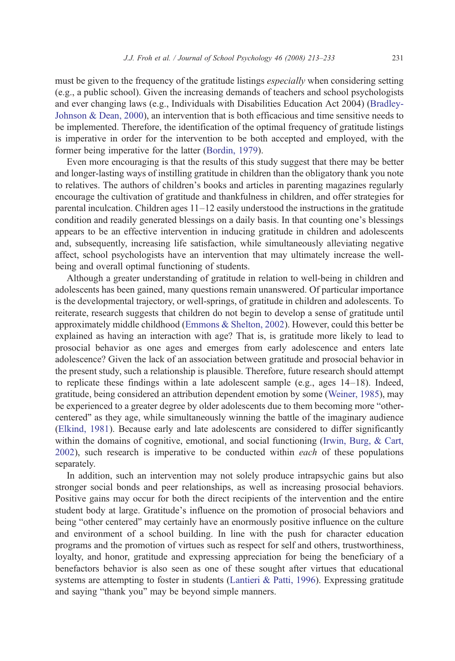must be given to the frequency of the gratitude listings *especially* when considering setting (e.g., a public school). Given the increasing demands of teachers and school psychologists and ever changing laws (e.g., Individuals with Disabilities Education Act 2004) ([Bradley-](#page-19-0)[Johnson & Dean, 2000\)](#page-19-0), an intervention that is both efficacious and time sensitive needs to be implemented. Therefore, the identification of the optimal frequency of gratitude listings is imperative in order for the intervention to be both accepted and employed, with the former being imperative for the latter [\(Bordin, 1979](#page-19-0)).

Even more encouraging is that the results of this study suggest that there may be better and longer-lasting ways of instilling gratitude in children than the obligatory thank you note to relatives. The authors of children's books and articles in parenting magazines regularly encourage the cultivation of gratitude and thankfulness in children, and offer strategies for parental inculcation. Children ages  $11-12$  easily understood the instructions in the gratitude condition and readily generated blessings on a daily basis. In that counting one's blessings appears to be an effective intervention in inducing gratitude in children and adolescents and, subsequently, increasing life satisfaction, while simultaneously alleviating negative affect, school psychologists have an intervention that may ultimately increase the wellbeing and overall optimal functioning of students.

Although a greater understanding of gratitude in relation to well-being in children and adolescents has been gained, many questions remain unanswered. Of particular importance is the developmental trajectory, or well-springs, of gratitude in children and adolescents. To reiterate, research suggests that children do not begin to develop a sense of gratitude until approximately middle childhood [\(Emmons & Shelton, 2002\)](#page-19-0). However, could this better be explained as having an interaction with age? That is, is gratitude more likely to lead to prosocial behavior as one ages and emerges from early adolescence and enters late adolescence? Given the lack of an association between gratitude and prosocial behavior in the present study, such a relationship is plausible. Therefore, future research should attempt to replicate these findings within a late adolescent sample (e.g., ages  $14-18$ ). Indeed, gratitude, being considered an attribution dependent emotion by some [\(Weiner, 1985](#page-20-0)), may be experienced to a greater degree by older adolescents due to them becoming more "othercentered" as they age, while simultaneously winning the battle of the imaginary audience ([Elkind, 1981](#page-19-0)). Because early and late adolescents are considered to differ significantly within the domains of cognitive, emotional, and social functioning [\(Irwin, Burg, & Cart,](#page-19-0) [2002\)](#page-19-0), such research is imperative to be conducted within each of these populations separately.

In addition, such an intervention may not solely produce intrapsychic gains but also stronger social bonds and peer relationships, as well as increasing prosocial behaviors. Positive gains may occur for both the direct recipients of the intervention and the entire student body at large. Gratitude's influence on the promotion of prosocial behaviors and being "other centered" may certainly have an enormously positive influence on the culture and environment of a school building. In line with the push for character education programs and the promotion of virtues such as respect for self and others, trustworthiness, loyalty, and honor, gratitude and expressing appreciation for being the beneficiary of a benefactors behavior is also seen as one of these sought after virtues that educational systems are attempting to foster in students [\(Lantieri & Patti, 1996\)](#page-19-0). Expressing gratitude and saying "thank you" may be beyond simple manners.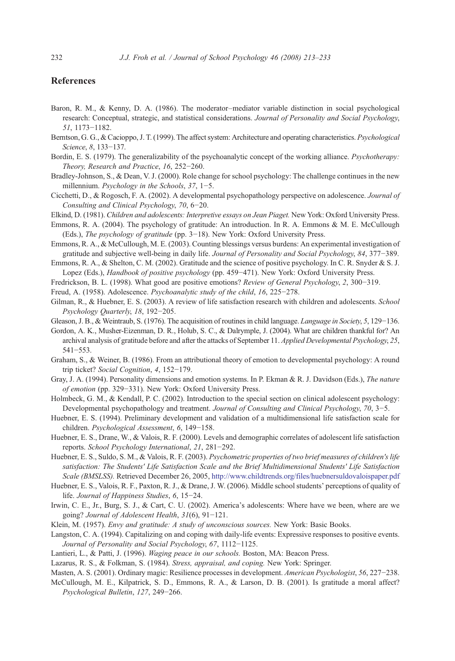## References

- Baron, R. M., & Kenny, D. A. (1986). The moderator–mediator variable distinction in social psychological research: Conceptual, strategic, and statistical considerations. Journal of Personality and Social Psychology, 51, 1173−1182.
- Berntson, G. G., & Cacioppo, J. T. (1999). The affect system: Architecture and operating characteristics. *Psychological* Science, 8, 133−137.
- Bordin, E. S. (1979). The generalizability of the psychoanalytic concept of the working alliance. *Psychotherapy*: Theory, Research and Practice, 16, 252−260.
- Bradley-Johnson, S., & Dean, V. J. (2000). Role change for school psychology: The challenge continues in the new millennium. Psychology in the Schools, 37, 1−5.
- Cicchetti, D., & Rogosch, F. A. (2002). A developmental psychopathology perspective on adolescence. Journal of Consulting and Clinical Psychology, 70, 6−20.
- Elkind, D. (1981). Children and adolescents: Interpretive essays on Jean Piaget. New York: Oxford University Press.
- Emmons, R. A. (2004). The psychology of gratitude: An introduction. In R. A. Emmons & M. E. McCullough (Eds.), The psychology of gratitude (pp. 3−18). New York: Oxford University Press.
- Emmons, R. A., & McCullough, M. E. (2003). Counting blessings versus burdens: An experimental investigation of gratitude and subjective well-being in daily life. Journal of Personality and Social Psychology, 84, 377−389.
- Emmons, R. A., & Shelton, C. M. (2002). Gratitude and the science of positive psychology. In C. R. Snyder & S. J. Lopez (Eds.), Handbook of positive psychology (pp. 459−471). New York: Oxford University Press.
- Fredrickson, B. L. (1998). What good are positive emotions? Review of General Psychology, 2, 300−319.
- Freud, A. (1958). Adolescence. Psychoanalytic study of the child, 16, 225−278.
- Gilman, R., & Huebner, E. S. (2003). A review of life satisfaction research with children and adolescents. School Psychology Quarterly, 18, 192−205.
- Gleason, J. B., & Weintraub, S. (1976). The acquisition of routines in child language. Language in Society, 5, 129−136.
- Gordon, A. K., Musher-Eizenman, D. R., Holub, S. C., & Dalrymple, J. (2004). What are children thankful for? An archival analysis of gratitude before and after the attacks of September 11. Applied Developmental Psychology, 25, 541−553.
- Graham, S., & Weiner, B. (1986). From an attributional theory of emotion to developmental psychology: A round trip ticket? Social Cognition, 4, 152−179.
- Gray, J. A. (1994). Personality dimensions and emotion systems. In P. Ekman & R. J. Davidson (Eds.), The nature of emotion (pp. 329−331). New York: Oxford University Press.
- Holmbeck, G. M., & Kendall, P. C. (2002). Introduction to the special section on clinical adolescent psychology: Developmental psychopathology and treatment. Journal of Consulting and Clinical Psychology, 70, 3−5.
- Huebner, E. S. (1994). Preliminary development and validation of a multidimensional life satisfaction scale for children. Psychological Assessment, 6, 149−158.
- Huebner, E. S., Drane, W., & Valois, R. F. (2000). Levels and demographic correlates of adolescent life satisfaction reports. School Psychology International, 21, 281−292.
- Huebner, E. S., Suldo, S. M., & Valois, R. F. (2003). Psychometric properties of two brief measures of children's life satisfaction: The Students' Life Satisfaction Scale and the Brief Multidimensional Students' Life Satisfaction Scale (BMSLSS). Retrieved December 26, 2005, <http://www.childtrends.org/files/huebnersuldovaloispaper.pdf>
- Huebner, E. S., Valois, R. F., Paxton, R. J., & Drane, J. W. (2006). Middle school students' perceptions of quality of life. Journal of Happiness Studies, 6, 15−24.
- Irwin, C. E., Jr., Burg, S. J., & Cart, C. U. (2002). America's adolescents: Where have we been, where are we going? Journal of Adolescent Health, 31(6), 91−121.
- Klein, M. (1957). Envy and gratitude: A study of unconscious sources. New York: Basic Books.
- Langston, C. A. (1994). Capitalizing on and coping with daily-life events: Expressive responses to positive events. Journal of Personality and Social Psychology, 67, 1112−1125.
- Lantieri, L., & Patti, J. (1996). Waging peace in our schools. Boston, MA: Beacon Press.
- Lazarus, R. S., & Folkman, S. (1984). Stress, appraisal, and coping. New York: Springer.
- Masten, A. S. (2001). Ordinary magic: Resilience processes in development. American Psychologist, 56, 227−238.
- <span id="page-19-0"></span>McCullough, M. E., Kilpatrick, S. D., Emmons, R. A., & Larson, D. B. (2001). Is gratitude a moral affect? Psychological Bulletin, 127, 249−266.